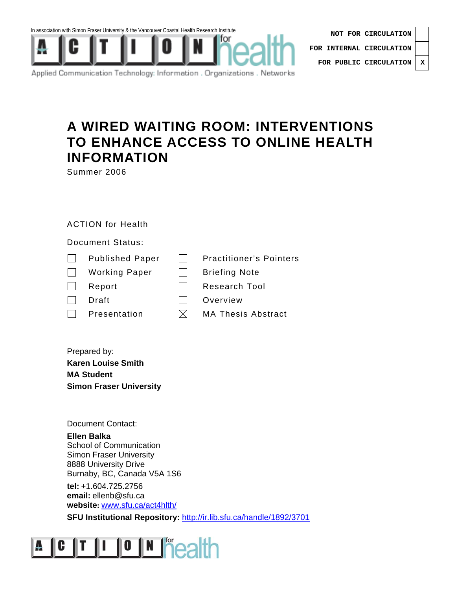





Applied Communication Technology: Information . Organizations . Networks

## **A WIRED WAITING ROOM: INTERVENTIONS TO ENHANCE ACCESS TO ONLINE HEALTH INFORMATION**

Summer 2006

## ACTION for Health

Document Status:

| $\perp$      | <b>Published Paper</b> |     | <b>Practitioner's Pointers</b> |
|--------------|------------------------|-----|--------------------------------|
| $\mathbf{L}$ | <b>Working Paper</b>   |     | <b>Briefing Note</b>           |
| $\perp$      | Report                 |     | <b>Research Tool</b>           |
| $\mathbf{I}$ | Draft                  |     | Overview                       |
| $\mathbf{L}$ | Presentation           | IXI | <b>MA Thesis Abstract</b>      |

Prepared by: **Karen Louise Smith MA Student Simon Fraser University** 

Document Contact:

**Ellen Balka**  School of Communication Simon Fraser University 8888 University Drive Burnaby, BC, Canada V5A 1S6

**tel:** +1.604.725.2756 **email:** ellenb@sfu.ca **website:** www.sfu.ca/act4hlth/

**SFU Institutional Repository:** http://ir.lib.sfu.ca/handle/1892/3701